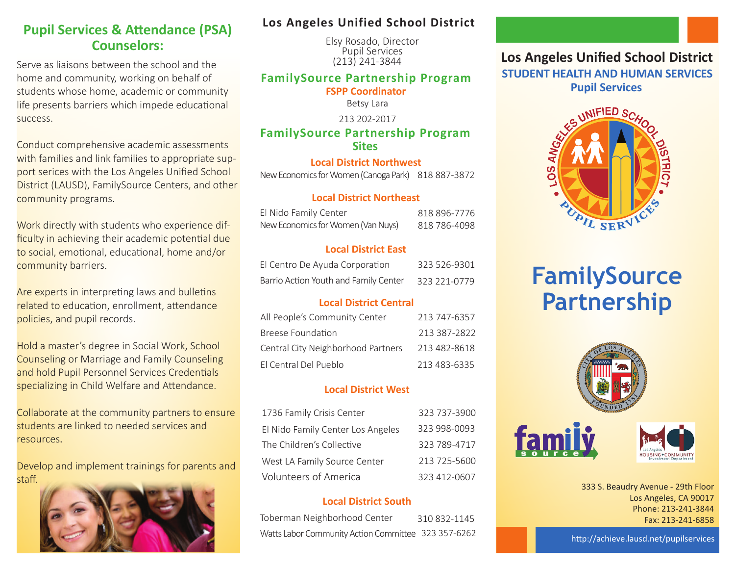## **Pupil Services & Attendance (PSA) Counselors:**

Serve as liaisons between the school and the home and community, working on behalf of students whose home, academic or community life presents barriers which impede educational success.

Conduct comprehensive academic assessments with families and link families to appropriate support serices with the Los Angeles Unified School District (LAUSD), FamilySource Centers, and other community programs.

Work directly with students who experience difficulty in achieving their academic potential due to social, emotional, educational, home and/or community barriers.

Are experts in interpreting laws and bulletins related to education, enrollment, attendance policies, and pupil records.

Hold a master's degree in Social Work, School Counseling or Marriage and Family Counseling and hold Pupil Personnel Services Credentials specializing in Child Welfare and Attendance.

Collaborate at the community partners to ensure students are linked to needed services and resources.

Develop and implement trainings for parents and staff.



### **Los Angeles Unified School District**

 Elsy Rosado, Director Pupil Services (213) 241-3844

### **FamilySource Partnership Program**

**FSPP Coordinator**

Betsy Lara

213 202-2017

**FamilySource Partnership Program Sites**

### **Local District Northwest**

New Economics for Women (Canoga Park) 818 887-3872

#### **Local District Northeast**

| El Nido Family Center              | 818 896-7776 |
|------------------------------------|--------------|
| New Economics for Women (Van Nuys) | 818 786-4098 |

### **Local District East**

| El Centro De Ayuda Corporation        | 323 526-9301 |
|---------------------------------------|--------------|
| Barrio Action Youth and Family Center | 323 221-0779 |

### **Local District Central**

| All People's Community Center      | 213 747-6357 |
|------------------------------------|--------------|
| <b>Breese Foundation</b>           | 213 387-2822 |
| Central City Neighborhood Partners | 213 482-8618 |
| El Central Del Pueblo              | 213 483-6335 |

### **Local District West**

| 1736 Family Crisis Center         | 323 737-3900 |
|-----------------------------------|--------------|
| El Nido Family Center Los Angeles | 323 998-0093 |
| The Children's Collective         | 323 789-4717 |
| West LA Family Source Center      | 213 725-5600 |
| <b>Volunteers of America</b>      | 323 412-0607 |

### **Local District South**

| Toberman Neighborhood Center                        | 310 832-1145 |
|-----------------------------------------------------|--------------|
| Watts Labor Community Action Committee 323 357-6262 |              |

## **Los Angeles Unified School District STUDENT HEALTH AND HUMAN SERVICES**



# **FamilySource Partnership**





333 S. Beaudry Avenue - 29th Floor Los Angeles, CA 90017 Phone: 213-241-3844 Fax: 213-241-6858

http://achieve.lausd.net/pupilservices